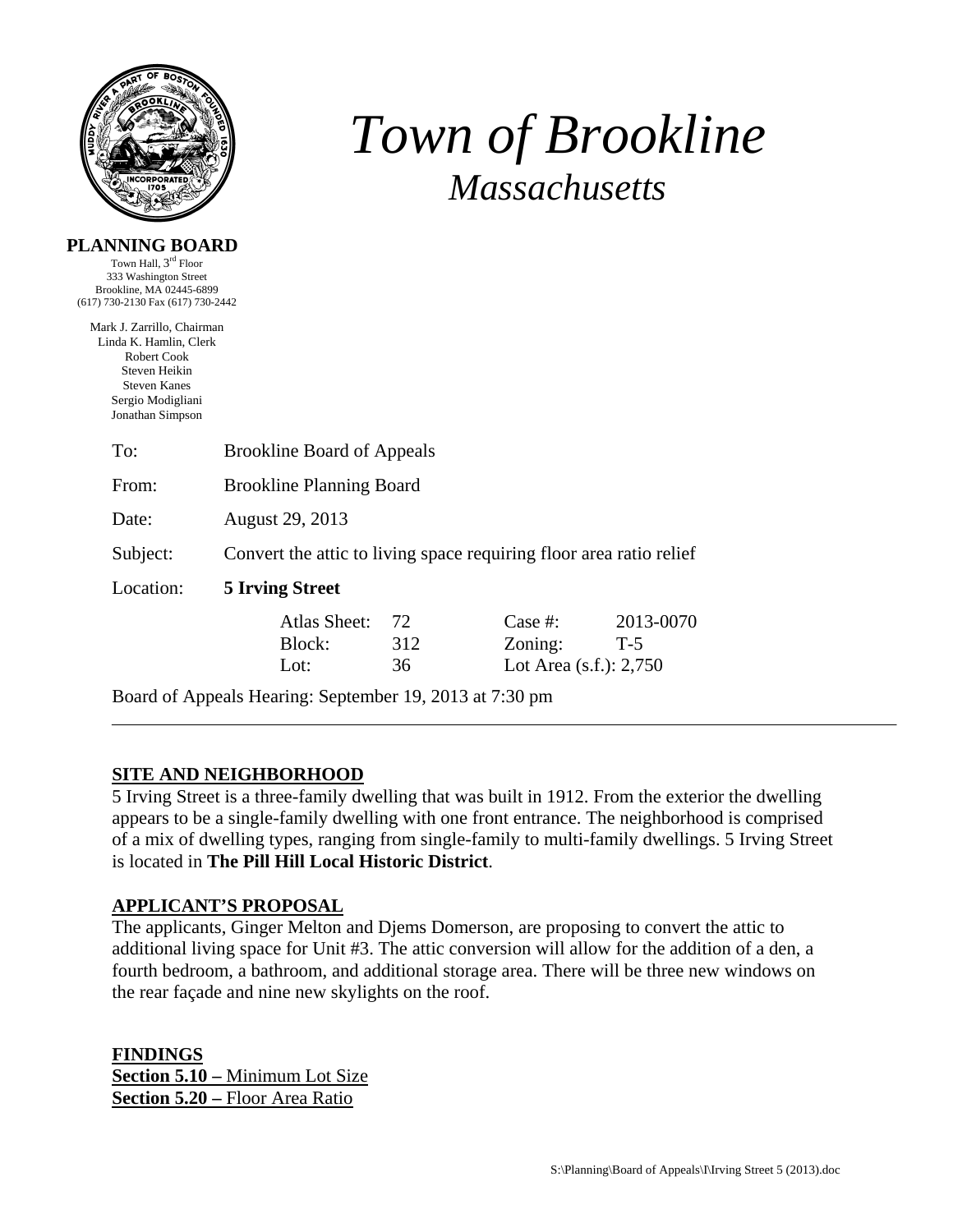

# *Town of Brookline Massachusetts*

|  |  | PLANNING BOARD |  |
|--|--|----------------|--|
|  |  |                |  |

Town Hall, 3rd Floor 333 Washington Street Brookline, MA 02445-6899 (617) 730-2130 Fax (617) 730-2442

Mark J. Zarrillo, Chairman Linda K. Hamlin, Clerk Robert Cook Steven Heikin Steven Kanes Sergio Modigliani Jonathan Simpson

| To:       | <b>Brookline Board of Appeals</b>                                   |                 |                                                 |                    |  |  |
|-----------|---------------------------------------------------------------------|-----------------|-------------------------------------------------|--------------------|--|--|
| From:     | <b>Brookline Planning Board</b>                                     |                 |                                                 |                    |  |  |
| Date:     | August 29, 2013                                                     |                 |                                                 |                    |  |  |
| Subject:  | Convert the attic to living space requiring floor area ratio relief |                 |                                                 |                    |  |  |
| Location: |                                                                     |                 |                                                 |                    |  |  |
|           | Atlas Sheet:<br>Block:<br>Lot:                                      | 72<br>312<br>36 | Case #:<br>Zoning:<br>Lot Area $(s.f.)$ : 2,750 | 2013-0070<br>$T-5$ |  |  |

Board of Appeals Hearing: September 19, 2013 at 7:30 pm

# **SITE AND NEIGHBORHOOD**

5 Irving Street is a three-family dwelling that was built in 1912. From the exterior the dwelling appears to be a single-family dwelling with one front entrance. The neighborhood is comprised of a mix of dwelling types, ranging from single-family to multi-family dwellings. 5 Irving Street is located in **The Pill Hill Local Historic District**.

## **APPLICANT'S PROPOSAL**

The applicants, Ginger Melton and Djems Domerson, are proposing to convert the attic to additional living space for Unit #3. The attic conversion will allow for the addition of a den, a fourth bedroom, a bathroom, and additional storage area. There will be three new windows on the rear façade and nine new skylights on the roof.

**FINDINGS Section 5.10 –** Minimum Lot Size **Section 5.20 –** Floor Area Ratio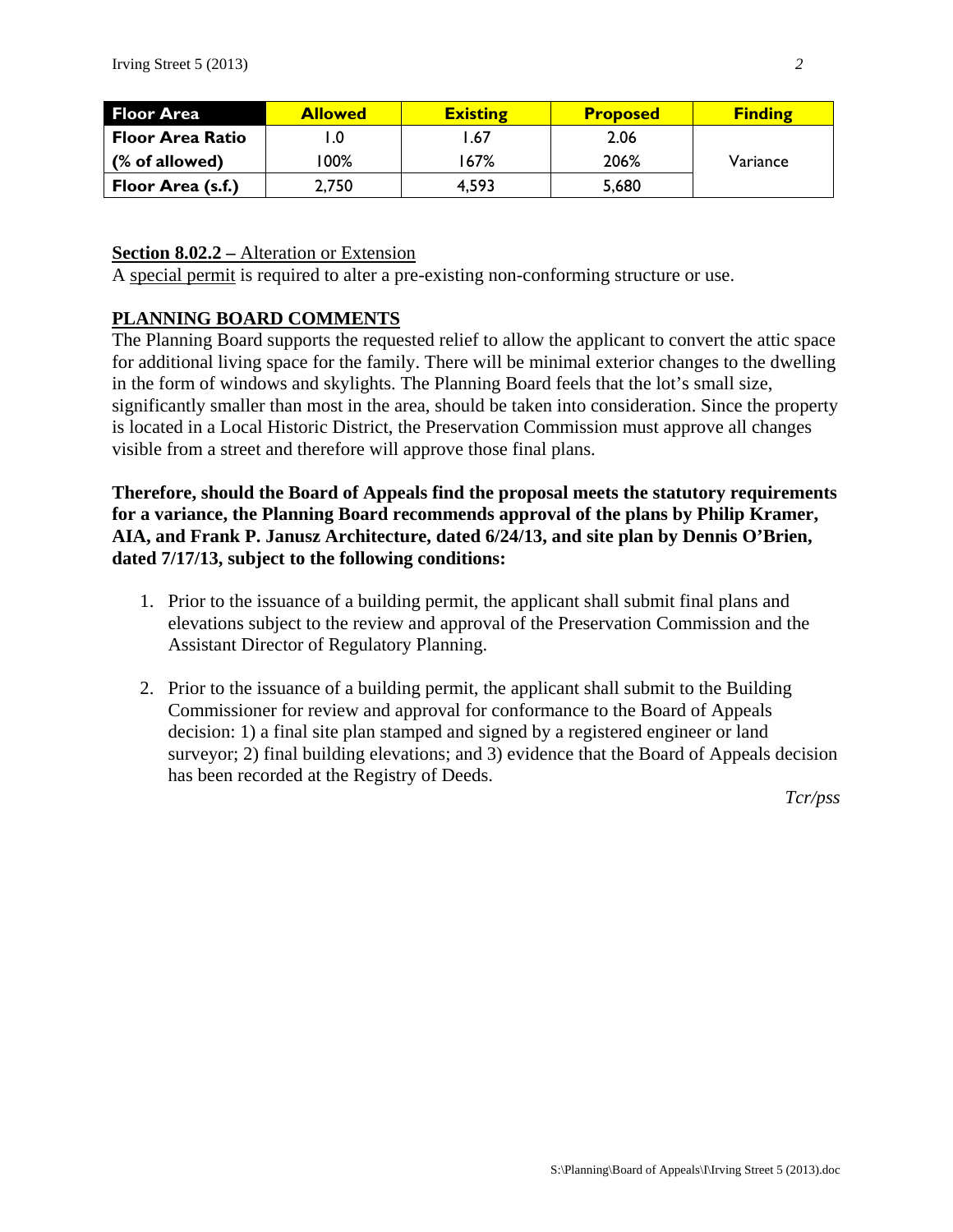| <b>Floor Area</b>       | <b>Allowed</b> | <b>Existing</b> | <b>Proposed</b> | <b>Finding</b> |
|-------------------------|----------------|-----------------|-----------------|----------------|
| <b>Floor Area Ratio</b> | ∣.0            | l.67            | 2.06            |                |
| (% of allowed)          | $100\%$        | 167%            | 206%            | Variance       |
| Floor Area (s.f.)       | 2,750          | 4,593           | 5,680           |                |

### **Section 8.02.2 –** Alteration or Extension

A special permit is required to alter a pre-existing non-conforming structure or use.

### **PLANNING BOARD COMMENTS**

The Planning Board supports the requested relief to allow the applicant to convert the attic space for additional living space for the family. There will be minimal exterior changes to the dwelling in the form of windows and skylights. The Planning Board feels that the lot's small size, significantly smaller than most in the area, should be taken into consideration. Since the property is located in a Local Historic District, the Preservation Commission must approve all changes visible from a street and therefore will approve those final plans.

**Therefore, should the Board of Appeals find the proposal meets the statutory requirements for a variance, the Planning Board recommends approval of the plans by Philip Kramer, AIA, and Frank P. Janusz Architecture, dated 6/24/13, and site plan by Dennis O'Brien, dated 7/17/13, subject to the following conditions:** 

- 1. Prior to the issuance of a building permit, the applicant shall submit final plans and elevations subject to the review and approval of the Preservation Commission and the Assistant Director of Regulatory Planning.
- 2. Prior to the issuance of a building permit, the applicant shall submit to the Building Commissioner for review and approval for conformance to the Board of Appeals decision: 1) a final site plan stamped and signed by a registered engineer or land surveyor; 2) final building elevations; and 3) evidence that the Board of Appeals decision has been recorded at the Registry of Deeds.

*Tcr/pss*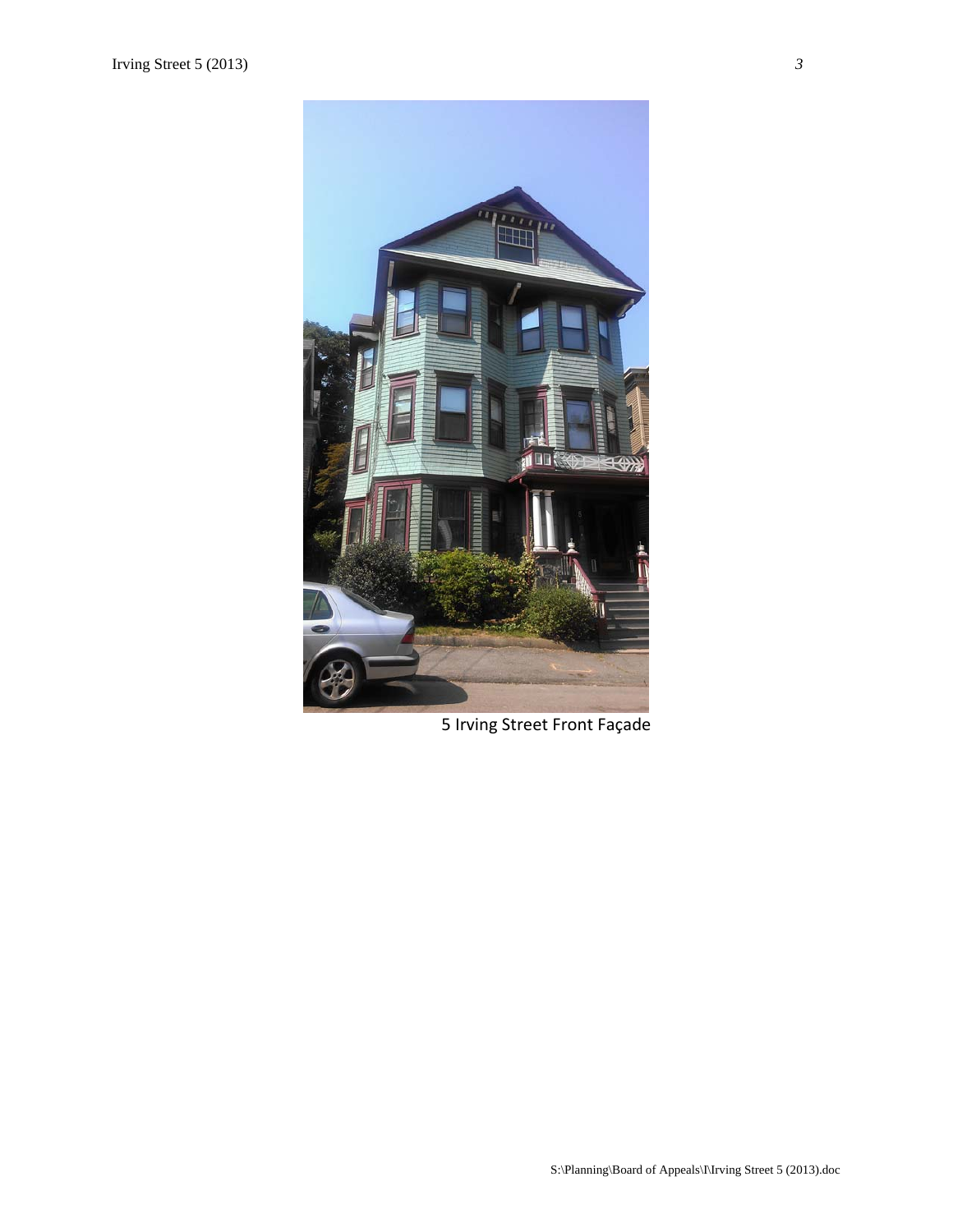

5 Irving Street Front Façade